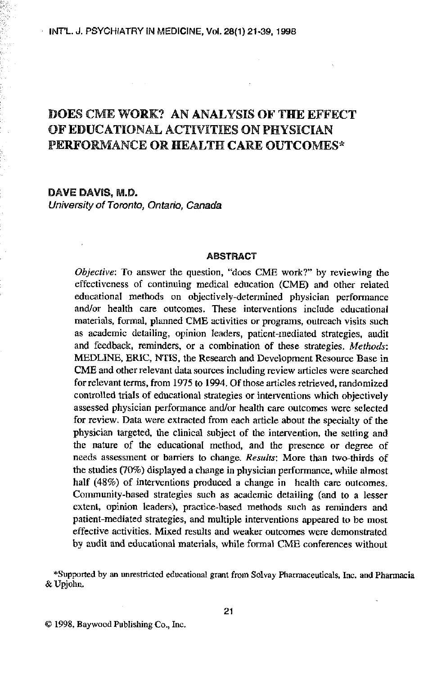# **DOES CME WORK? AN ANALYSIS OF THE EFFECT OF EDUCATIONAL** ACTIVITIES **ON PHYSICIAN PERFORMANCE OR HEALTH CARE OUTCOMES\***

## DAVE DAVIS, M.D. *University of Toronto, Ontario, Canada*

#### **ABSTRACT**

*Objective:* **To answer the question, "does CME work?" by reviewing the effectiveness of continuing medical education (CME) and other related educational methods on objectively-determined physician performance and/or health care outcomes. These interventions include educational materials, formal, planned CME activities or programs, outreach visits such as academic detailing, opinion leaders, patient-mediated strategies, audit and feedback, reminders, or a combination of these strategies.** *Methods'.* **MEDLINE, ERIC, NTIS, the Research and Development Resource Base in CME and other relevant data sources including review articles were searched for relevant terms, from 1975 to 1994. Of those articles retrieved, randomized controlled trials of educational strategies or interventions which objectively assessed physician performance and/or health care outcomes were selected for review. Data were extracted from each article about the specialty of the physician targeted, the clinical subject of the intervention, the setting and the nature of the educational method, and the presence or degree of needs assessment or barriers to change.** *Results:* **More than two-thirds of the studies (70%) displayed a change in physician performance, while almost half (48%) of interventions produced a change in health care outcomes. Community-based strategies such as academic detailing (and to a lesser extent, opinion leaders), practice-based methods such as reminders and patient-mediated strategies, and multiple interventions appeared to be most effective activities. Mixed results and weaker outcomes were demonstrated by audit and educational materials, while formal CME conferences without**

**♦Supported by an unrestricted educational grant from Solvay Pharmaceuticals, Inc. and Pharmacia** *&* **Upjohn.**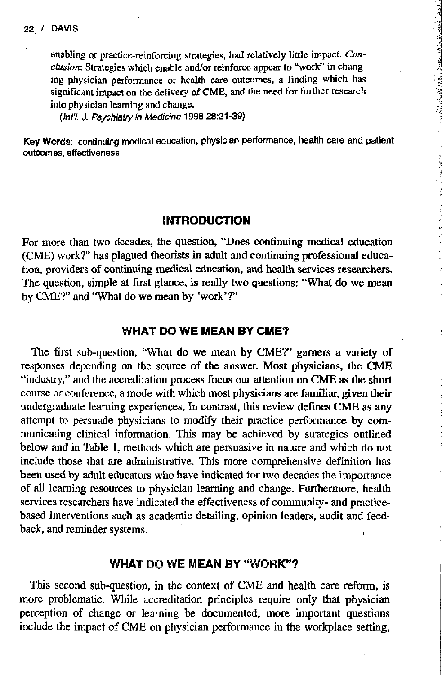enabling or practice-reinforcing strategies, had relatively little impact. *Conclusion-.* Strategies **which enable** and/or reinforce appear to "work" in changing physician performance **or** health care outcomes, a finding which has significant impact on **the delivery** of **CME,** and the need for further research into physician learning **and** change.

*(Int'l. J. Psychiatry in Medicine* **1998;28:21-39)**

Key Words: continuing medical education, physician performance, health care and patient outcomes, effectiveness

#### INTRODUCTION

For more than two decades, the question, "Does continuing medical education (CME) work?" has plagued theorists in adult and continuing professional education, providers of continuing medical education, and health services researchers. The question, simple at first glance, is really two questions: "What do we mean by CME?" and "What do we mean by 'work'?"

#### WHAT DO WE MEAN BY CME?

The first sub-question, "What do we mean by CME?" gamers a variety of responses depending on the source of the answer. Most physicians, the CME "industry," and the accreditation process focus our attention on CME as the short course or conference, a mode with which most physicians are familiar, given their undergraduate learning experiences. In contrast, this review defines CME as any attempt to persuade physicians to modify their practice performance by communicating clinical information. This may be achieved by strategies outlined below and in Table 1, methods which are persuasive in nature and which do not include those that are administrative. This more comprehensive definition has been used by adult educators who have indicated for two decades the importance of all learning resources to physician learning and change. Furthermore, health services researchers have indicated the effectiveness of community- and practicebased interventions such as academic detailing, opinion leaders, audit and feedback, and reminder systems.

## WHAT DO WE MEAN BY "WORK"?

This second sub-question, in the context of CME and health care reform, is more problematic. While accreditation principles require only that physician perception of change or learning be documented, more important questions include the impact of CME on physician performance in the workplace setting,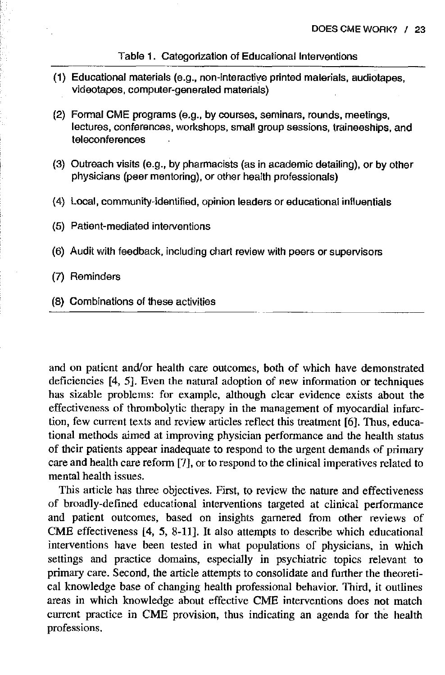#### Tabla 1. Categorization of Educational Interventions

- (1) Educational materials (e.g., non-interactive printed materials, audiotapes, videotapes, computer-generated materials)
- (2) Formal CME programs (e.g., by courses, seminars, rounds, meetings, lectures, conferences, workshops, small group sessions, traineeships, and teleconferences
- (3) Outreach visits (e.g., by pharmacists (as in academic detailing), or by other physicians (peer mentoring), or other health professionals)
- (4) Local, community-identified, opinion leaders or educational influentials
- (5) Patient-mediated interventions
- (6) Audit with feedback, including chart review with peers or supervisors
- (7) Reminders
- (8) Combinations of these activities

and on patient and/or health care outcomes, both of which have demonstrated deficiencies [4, 5], Even the natural adoption of new information or techniques has sizable problems: for example, although clear evidence exists about the effectiveness of thrombolytic therapy in the management of myocardial infarction, few current texts and review articles reflect this treatment [6]. Thus, educational methods aimed at improving physician performance and the health status of their patients appear inadequate to respond to the urgent demands of primary care and health care reform [7], or to respond to the clinical imperatives related to mental health issues.

This article has three objectives. First, to review the nature and effectiveness of broadly-defined educational interventions targeted at clinical performance and patient outcomes, based on insights garnered from other reviews of CME effectiveness [4, 5, 8-11]. It also attempts to describe which educational interventions have been tested in what populations of physicians, in which settings and practice domains, especially in psychiatric topics relevant to primary care. Second, the article attempts to consolidate and further the theoretical knowledge base of changing health professional behavior. Third, it outlines areas in which knowledge about effective CME interventions does not match current practice in CME provision, thus indicating an agenda for the health professions.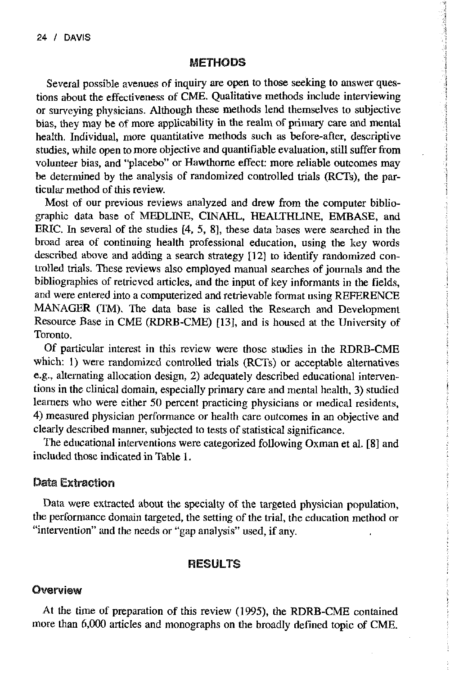### **METHODS**

Several possible avenues of inquiry are open to those seeking to answer questions about the effectiveness of CME. Qualitative methods include interviewing or surveying physicians. Although these methods lend themselves to subjective bias, they may be of more applicability in the realm of primary care and mental health. Individual, more quantitative methods such as before-after, descriptive studies, while open to more objective and quantifiable evaluation, still suffer from volunteer bias, and "placebo" or Hawthorne effect: more reliable outcomes may be determined by the analysis of randomized controlled trials (RCTs), the particular method of this review.

Most of our previous reviews analyzed and drew from the computer bibliographic data base of MEDLINE, CINAHL, HEALTHLINE, EMBASE, and ERIC. In several of the studies [4, 5, 8], these data bases were searched in the broad area of continuing health professional education, using the key words described above and adding a search strategy [12] to identify randomized controlled trials. These reviews also employed manual searches of journals and the bibliographies of retrieved articles, and the input of key informants in the fields, and were entered into a computerized and retrievable format using REFERENCE MANAGER (TM). The data base is called the Research and Development Resource Base in CME (RDRB-CME) [13], and is housed at the University of Toronto.

Of particular interest in this review were those studies in the RDRB-CME which: 1) were randomized controlled trials (RCTs) or acceptable alternatives e.g., alternating allocation design, 2) adequately described educational interventions in the clinical domain, especially primary care and mental health, 3) studied learners who were either 50 percent practicing physicians or medical residents, 4) measured physician performance or health care outcomes in an objective and clearly described manner, subjected to tests of statistical significance.

The educational interventions were categorized following Oxman et al. [8] and included those indicated in Table 1.

## Data Extraction

Data were extracted about the specialty of the targeted physician population, the performance domain targeted, the setting of the trial, the education method or "intervention" and the needs or "gap analysis" used, if any.

#### RESULTS

## **Overview**

At the time of preparation of this review (1995), the RDRB-CME contained more than 6,000 articles and monographs on the broadly defined topic of CME.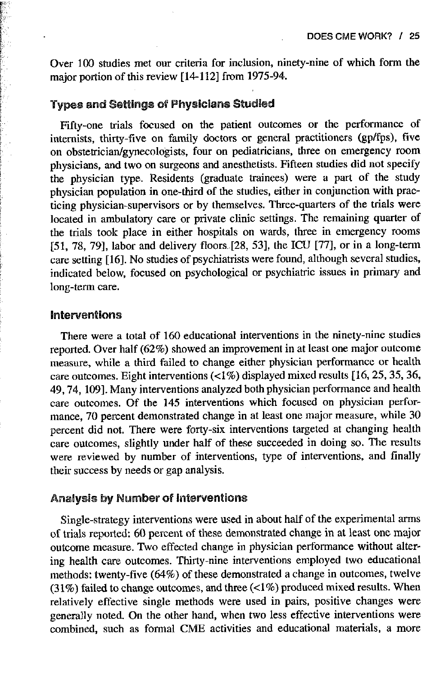Over 100 studies met our criteria for inclusion, ninety-nine of which form the major portion of this review [14-112] from 1975-94.

#### **Types** and **Settings of Physicians Studied**

Fifty-one trials focused on the patient outcomes or the performance of internists, thirty-five on family doctors or general practitioners (gp/fps), five on obstetrician/gynecologists, four on pediatricians, three on emergency room physicians, and two on surgeons and anesthetists. Fifteen studies did not specify the physician type. Residents (graduate trainees) were a part of the study physician population in one-third of the studies, either in conjunction with practicing physician-supervisors or by themselves. Three-quarters of the trials were located in ambulatory care or private clinic settings. The remaining quarter of the trials took place in either hospitals on wards, three in emergency rooms [51, 78, 79], labor and delivery floors. [28, 53], the ICU [77], or in a long-term care setting [16]. No studies of psychiatrists were found, although several studies, indicated below, focused on psychological or psychiatric issues in primary and long-term care.

## **interventions**

There were a total of 160 educational interventions in the ninety-nine studies reported. Over half (62%) showed an improvement in at least one major outcome measure, while a third failed to change either physician performance or health care outcomes. Eight interventions (<1%) displayed mixed results [16, 25, 35, 36, 49,74,109]. Many interventions analyzed both physician performance and health care outcomes. Of the 145 interventions which focused on physician performance, 70 percent demonstrated change in at least one major measure, while 30 percent did not. There were forty-six interventions targeted at changing health care outcomes, slightly under half of these succeeded in doing so. The results were reviewed by number of interventions, type of interventions, and finally their success by needs or gap analysis.

#### **Analysis by Number of Interventions**

Single-strategy interventions were used in about half of the experimental arms of trials reported: 60 percent of these demonstrated change in at least one major outcome measure. Two effected change in physician performance without altering health care outcomes. Thirty-nine interventions employed two educational methods: twenty-five (64%) of these demonstrated a change in outcomes, twelve (31%) failed to change outcomes, and three (<1%) produced mixed results. When relatively effective single methods were used in pairs, positive changes were generally noted. On the other hand, when two less effective interventions were combined, such as formal CME activities and educational materials, a more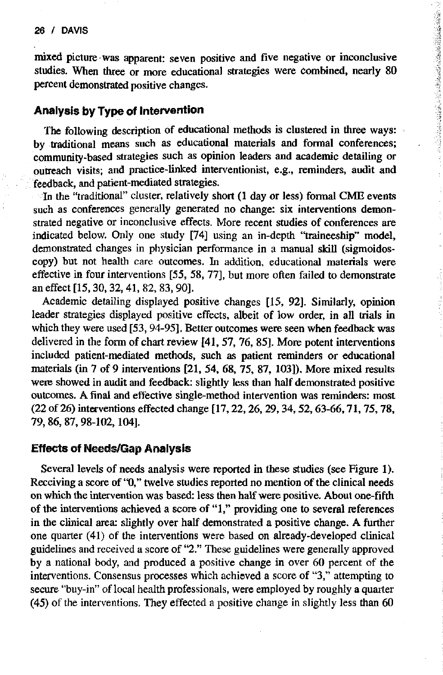mixed picture was apparent: seven positive and five negative or inconclusive studies. When three or more educational strategies were combined, nearly 80 percent demonstrated positive changes.

☆ 深い過程の出来ないのです。 またら バイスの

## **Analysis by Type of** Intervention

The following description of educational methods is clustered in three ways: by traditional means such as educational materials and formal conferences; community-based strategies such as opinion leaders and academic detailing or outreach visits; and practice-linked interventionist, e.g., reminders, audit and feedback, and patient-mediated strategies.

In the "traditional" cluster, relatively short (1 day or less) formal CME events such as conferences generally generated no change: six interventions demonstrated negative or inconclusive effects. More recent studies of conferences are indicated below. Only one study [74] using an in-depth "traineeship" model, demonstrated changes in physician performance in a manual skill (sigmoidoscopy) but not health care outcomes. In addition, educational materials were effective in four interventions [55, 58, 77], but more often failed to demonstrate an effect [15,30, 32,41, 82, 83, 90].

Academic detailing displayed positive changes [15, 92]. Similarly, opinion leader strategies displayed positive effects, albeit of low order, in all trials in which they were used [53, 94-95]. Better outcomes were seen when feedback was delivered in the form of chart review [41,57,76, 85], More potent interventions included patient-mediated methods, such as patient reminders or educational materials (in 7 of 9 interventions [21, 54, 68, 75, 87, 103]). More mixed results were showed in audit and feedback: slightly less than half demonstrated positive outcomes. A final and effective single-method intervention was reminders: most (22 of 26) interventions effected change [17, 22, 26, 29, 34,52,63-66,71, 75,78, 79,86,87,98-102,104].

### **Effects of Needs/Gap Analysis**

Several levels of needs analysis were reported in these studies (see Figure 1). Receiving a score of "0," twelve studies reported no mention of the clinical needs on which the intervention was based: less then half were positive. About one-fifth of the interventions achieved a score of "1," providing one to several references in the clinical area: slightly over half demonstrated a positive change. A further one quarter (41) of the interventions were based on already-developed clinical guidelines and received a score of "2." These guidelines were generally approved by a national body, and produced a positive change in over 60 percent of the interventions. Consensus processes which achieved a score of "3," attempting to secure "buy-in" of local health professionals, were employed by roughly a quarter (45) of the interventions. They effected a positive change in slightly less than 60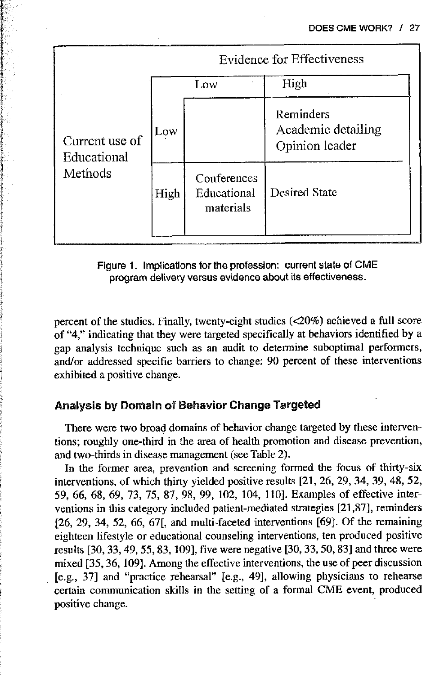|                                          | Evidence for Effectiveness |                                         |                                                   |
|------------------------------------------|----------------------------|-----------------------------------------|---------------------------------------------------|
| Current use of<br>Educational<br>Methods | Low                        |                                         | High                                              |
|                                          | Low                        |                                         | Reminders<br>Academic detailing<br>Opinion leader |
|                                          | High                       | Conferences<br>Educational<br>materials | <b>Desired State</b>                              |

Figure 1. Implications for the profession: current state of CME program delivery versus evidence about its effectiveness.

percent of the studies. Finally, twenty-eight studies  $(\langle 20\% \rangle)$  achieved a full score of "4," indicating that they were targeted specifically at behaviors identified by a gap analysis technique such as an audit to determine suboptimal performers, and/or addressed specific barriers to change: 90 percent of these interventions exhibited a positive change.

## **Analysis by Domain of Behavior Change Targeted**

There were two broad domains of behavior change targeted by these interventions; roughly one-third in the area of health promotion and disease prevention, and two-thirds in disease management (see Table 2).

In the former area, prevention and screening formed the focus of thirty-six interventions, of which thirty yielded positive results [21, 26, 29, 34, 39, 48, 52, 59, 66, 68, 69, 73, 75, 87, 98, 99, 102, 104, 110]. Examples of effective interventions in this category included patient-mediated strategies [21,87], reminders [26, 29, 34, 52, 66, 67], and multi-faceted interventions [69]. Of the remaining eighteen lifestyle or educational counseling interventions, ten produced positive results [30, 33,49, 55,83,109], five were negative [30,33,50,83] and three were mixed [35,36,109]. Among the effective interventions, the use of peer discussion [e.g., 37] and "practice rehearsal" [e.g., 49], allowing physicians to rehearse certain communication skills in the setting of a formal CME event, produced positive change.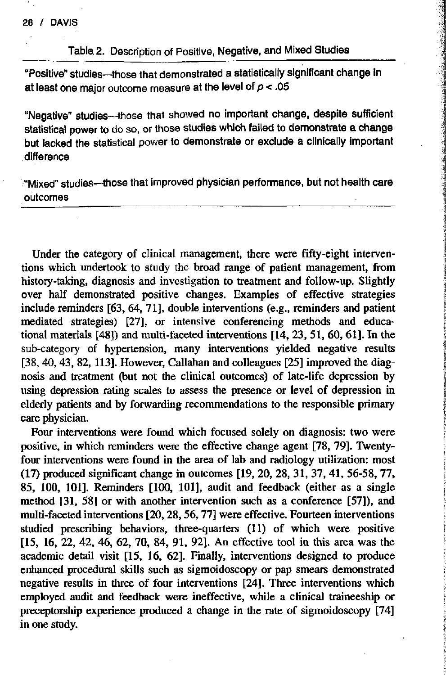#### **28 / DAVIS**

## Table, 2. Description of Positive, Negative, and Mixed Studies

"Positive" studies—those that demonstrated a statistically significant change in at least one major outcome measure at the level of  $p < 05$ 

"Negative" studies—those that showed no important change, despite sufficient statistical power to do so, or those studies which failed to demonstrate a change but lacked the statistical power to demonstrate or exclude a clinically important difference

"Mixed" studies—those that improved physician performance, but not health care outcomes

Under the category of clinical management, there were fifty-eight interventions which undertook to study the broad range of patient management, from history-taking, diagnosis and investigation to treatment and follow-up. Slightly over half demonstrated positive changes. Examples of effective strategies include reminders [63, 64, 71], double interventions (e.g., reminders and patient mediated strategies) [27], or intensive conferencing methods and educational materials [48]) and multi-faceted interventions [14, 23, 51, 60,61]. In the sub-category of hypertension, many interventions yielded negative results  $[38, 40, 43, 82, 113]$ . However, Callahan and colleagues  $[25]$  improved the diagnosis and treatment (but not the clinical outcomes) of late-life depression by using depression rating scales to assess the presence or level of depression in elderly patients and by forwarding recommendations to the responsible primary care physician.

Four interventions were found which focused solely on diagnosis: two were positive, in which reminders were the effective change agent [78, 79]. Twentyfour interventions were found in the area of lab and radiology utilization: most (17) produced significant change in outcomes [19, 20, 28, 31, 37, 41, 56-58, 77, 85, 100, 101]. Reminders [100, 101], audit and feedback (either as a single method [31, 58] or with another intervention such as a conference [57]), and multi-faceted interventions [20,28,56,77] were effective. Fourteen interventions studied prescribing behaviors, three-quarters (11) of which were positive [15, 16, 22, 42, 46, 62, 70, 84, 91, 92], An effective tool in this area was the academic detail visit [15, 16, 62], Finally, interventions designed to produce enhanced procedural skills such as sigmoidoscopy or pap smears demonstrated negative results in three of four interventions [24], Three interventions which employed audit and feedback were ineffective, while a clinical traineeship or preceptorship experience produced a change in the rate of sigmoidoscopy [74] in one study.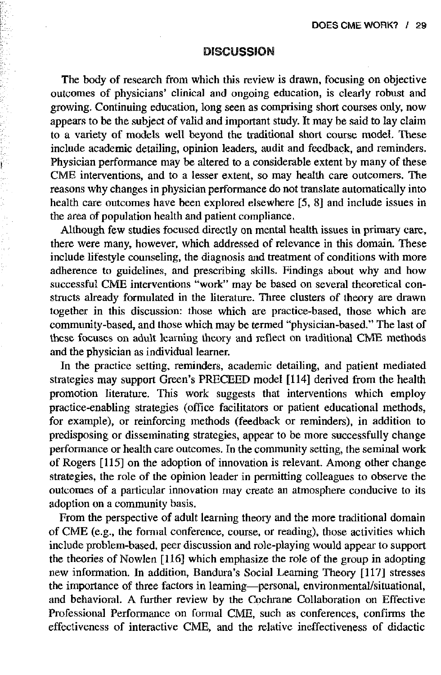## **DISCUSSION**

The body of research from which this review is drawn, focusing on objective outcomes of physicians' clinical and ongoing education, is clearly robust and growing. Continuing education, long seen as comprising short courses only, now appears to be the subject of valid and important study. It may be said to lay claim to a variety of models well beyond the traditional short course model. These include academic detailing, opinion leaders, audit and feedback, and reminders. Physician performance may be altered to a considerable extent by many of these CME interventions, and to a lesser extent, so may health care outcomers. The reasons why changes in physician performance do not translate automatically into health care outcomes have been explored elsewhere [5, 8] and include issues in the area of population health and patient compliance.

Although few studies focused directly on mental health issues in primary care, there were many, however, which addressed of relevance in this domain. These include lifestyle counseling, the diagnosis and treatment of conditions with more adherence to guidelines, and prescribing skills. Findings about why and how successful CME interventions "work" may be based on several theoretical constructs already formulated in the literature. Three clusters of theory are drawn together in this discussion: those which are practice-based, those which are community-based, and those which may be termed "physician-based." The last of these focuses on adult learning theory and reflect on traditional CME methods and the physician as individual learner.

In the practice setting, reminders, academic detailing, and patient mediated strategies may support Green's PRECEED model [114] derived from the health promotion literature. This work suggests that interventions which employ practice-enabling strategies (office facilitators or patient educational methods, for example), or reinforcing methods (feedback or reminders), in addition to predisposing or disseminating strategies, appear to be more successfully change performance or health care outcomes. In the community setting, the seminal work of Rogers [115] on the adoption of innovation is relevant. Among other change strategies, the role of the opinion leader in permitting colleagues to observe the outcomes of a particular innovation may create an atmosphere conducive to its adoption on a community basis.

From the perspective of adult learning theory and the more traditional domain of CME (e.g., the formal conference, course, or reading), those activities which include problem-based, peer discussion and role-playing would appear to support the theories of Nowlen [116] which emphasize the role of the group in adopting new information. In addition, Bandura's Social Learning Theory [117] stresses the importance of three factors in learning—personal, environmental/situational, and behavioral. A further review by the Cochrane Collaboration on Effective Professional Performance on formal CME, such as conferences, confirms the effectiveness of interactive CME, and the relative ineffectiveness of didactic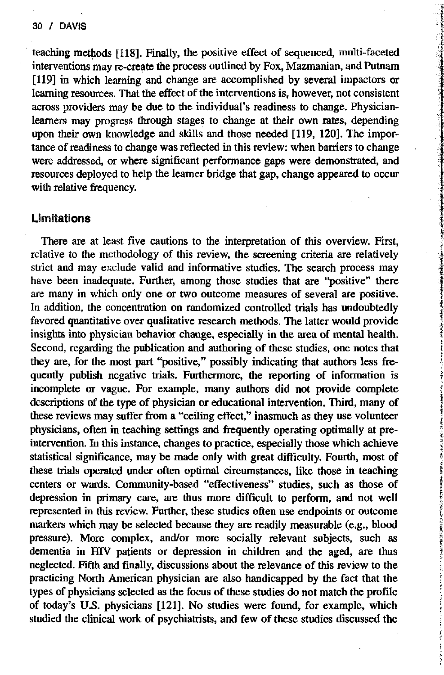teaching methods [118]. Finally, the positive effect of sequenced, multi-faceted interventions may re-create the process outlined by Fox, Mazmanian, and Putnam [119] in which learning and change are accomplished by several impactors or learning resources. That the effect of the interventions is, however, not consistent across providers may be due to the individual's readiness to change. Physicianleamers may progress through stages to change at their own rates, depending upon their own knowledge and skills and those needed [119, 120]. The importance of readiness to change was reflected in this review: when barriers to change were addressed, or where significant performance gaps were demonstrated, and resources deployed to help the learner bridge that gap, change appeared to occur with relative frequency.

### **Limitations**

There are at least five cautions to the interpretation of this overview. First, relative to the methodology of this review, the screening criteria are relatively strict and may exclude valid and informative studies. The search process may have been inadequate. Further, among those studies that are "positive" there are many in which only one or two outcome measures of several are positive. In addition, the concentration on randomized controlled trials has undoubtedly favored quantitative over qualitative research methods. The latter would provide insights into physician behavior change, especially in the area of mental health. Second, regarding the publication and authoring of these studies, one notes that they are, for the most part "positive," possibly indicating that authors less frequently publish negative trials. Furthermore, the reporting of information is incomplete or vague. For example, many authors did not provide complete descriptions of the type of physician or educational intervention. Third, many of these reviews may suffer from a "ceiling effect," inasmuch as they use volunteer physicians, often in teaching settings and frequently operating optimally at preintervention. In this instance, changes to practice, especially those which achieve statistical significance, may be made only with great difficulty. Fourth, most of these trials operated under often optimal circumstances, like those in teaching centers or wards. Community-based "effectiveness" studies, such as those of depression in primary care, are thus more difficult to perform, and not well represented in this review. Further, these studies often use endpoints or outcome markers which may be selected because they are readily measurable (e.g., blood pressure). More complex, and/or more socially relevant subjects, such as dementia in HIV patients or depression in children and the aged, are thus neglected. Fifth and finally, discussions about the relevance of this review to the practicing North American physician are also handicapped by the fact that the types of physicians selected as the focus of these studies do not match the profile of today's U.S. physicians [121]. No studies were found, for example, which studied the clinical work of psychiatrists, and few of these studies discussed the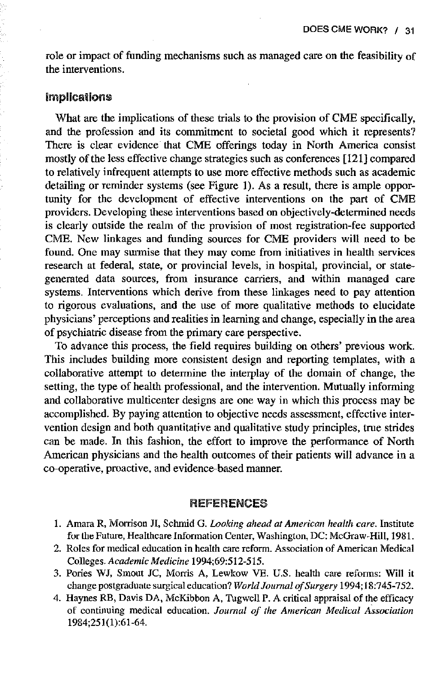role or impact of funding mechanisms such as managed care on the feasibility of the interventions.

## **Implications**

What are the implications of these trials to the provision of CME specifically, and the profession and its commitment to societal good which it represents? There is clear evidence that CME offerings today in North America consist mostly of the less effective change strategies such as conferences [121] compared to relatively infrequent attempts to use more effective methods such as academic detailing or reminder systems (see Figure 1). As a result, there is ample opportunity for the development of effective interventions on the part of CME providers. Developing these interventions based on objectively-determined needs is clearly outside the realm of the provision of most registration-fee supported CME. New linkages and funding sources for CME providers will need to be found. One may surmise that they may come from initiatives in health services research at federal, state, or provincial levels, in hospital, provincial, or stategenerated data sources, from insurance carriers, and within managed care systems. Interventions which derive from these linkages need to pay attention to rigorous evaluations, and the use of more qualitative methods to elucidate physicians' perceptions and realities in learning and change, especially in the area of psychiatric disease from the primary care perspective.

To advance this process, the field requires building on others' previous work. This includes building more consistent design and reporting templates, with a collaborative attempt to determine the interplay of the domain of change, the setting, the type of health professional, and the intervention. Mutually informing and collaborative multicenter designs are one way in which this process may be accomplished. By paying attention to objective needs assessment, effective intervention design and both quantitative and qualitative study principles, true strides can be made. In this fashion, the effort to improve the performance of North American physicians and the health outcomes of their patients will advance in a co-operative, proactive, and evidence-based manner.

#### REFERENCES

- **1. Amara R, Morrison JI, Schmid G.** *Looking ahead at American health care.* **Institute for the Future, Healthcare Information Center, Washington, DC: McGraw-Hill, 1981.**
- **2. Roles for medical education in health care reform. Association of American Medical Colleges.** *Academic Medicine* **1994;69:512-515.**
- **3. Pories WJ, Smout JC, Morris A, Lewkow VE. U.S. health care reforms: Will it change postgraduate surgical education?** *World Journal of Surgery* **1994; 18:745-752.**
- **4. Haynes RB, Davis DA, McKibbon A, Tugwell P. A critical appraisal of the efficacy** of continuing medical education. *Journal of the American Medical Association* **1984;251(l):61-64.**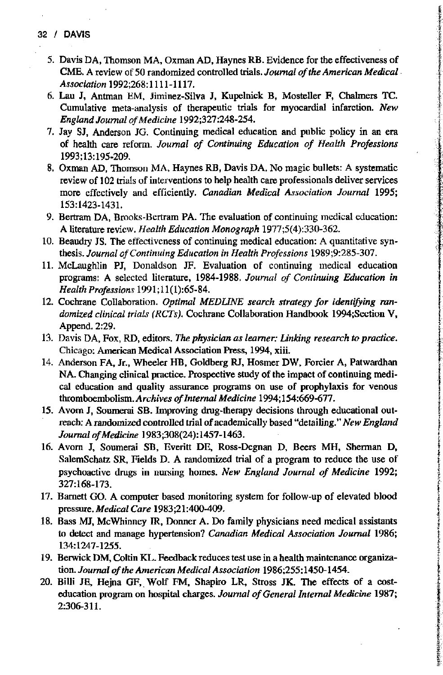- **32 / DAVIS**
	- **5. Davis DA, Thomson MA, Oxman AD, Haynes RB. Evidence for the effectiveness of CME.** A review of 50 randomized controlled trials. *Journal of the American Medical Association* **1992;268:1111-1117.**
	- **6. Lau J, Antman EM, Jiminez-Silva J, Kupelnick B, Mosteller F, Chalmers TC. Cumulative meta-analysis of therapeutic trials for myocardial infarction.** *New England Journal of Medicine* **1992;327:248-254.**
	- **7. Jay SJ, Anderson JG. Continuing medical education and public policy in an era** of health care reform. *Journal of Continuing Education of Health Professions* **1993;13:195-209.**
	- **8. Oxman AD, Thomson MA, Haynes RB, Davis DA. No magic bullets: A systematic review of 102 trials of interventions to help health care professionals deliver services more effectively and efficiently.** *Canadian Medical Association Journal* **1995; 153:1423-1431.**
	- **9. Bertram DA, Brooks-Bertram PA. The evaluation of continuing medical education: A literature review.** *Health Education Monograph* **1977;5(4):330-362.**
	- **10. Beaudry JS. The effectiveness of continuing medical education: A quantitative synthesis.** *Journal of Continuing Education in Health Professions* **1989;9:285-307.**
	- **11. McLaughlin PJ, Donaldson JF. Evaluation of continuing medical education** programs: A selected literature, 1984-1988. *Journal of Continuing Education in Health Professions* **1991;1 l(l):65-84.**
	- 12. Cochrane Collaboration. *Optimal MEDLINE search strategy for identifying randomized clinical trials (RCTs).* **Cochrane Collaboration Handbook 1994;Section V, Append. 2:29.**
	- **13. Davis DA, Fox, RD, editors.** *The physician as learner: Unking research to practice.* **Chicago: American Medical Association Press, 1994, xiii.**
	- **14. Anderson FA, Jr., Wheeler HB, Goldberg RJ, Hosmer DW, Forcier A, Patwardhan NA. Changing clinical practice. Prospective study of the impact of continuing medical education and quality assurance programs on use of prophylaxis for venous** thromboembolism. *Archives of Internal Medicine* 1994;154:669-677.
	- **15. Avom J, Soumerai SB. Improving drug-therapy decisions through educational outreach: A randomized controlled trial of academically based "detailing."** *New England Journal o f Medicine* **1983;308(24):1457-1463.**
	- **16. Avom J, Soumerai SB, Everitt DE, Ross-Degnan D, Beers MH, Sherman D, SalemSchatz SR, Fields D. A randomized trial of a program to reduce the use of** psychoactive drugs in nursing homes. *New England Journal of Medicine* 1992; **327:168-173.**
- **17. Barnett GO. A computer based monitoring system for follow-up of elevated blood pressure.** *Medical Care* **1983;21:400-409.**
- **18. Bass MJ, McWhinney IR, Donner A. Do family physicians need medical assistants to detect and manage hypertension?** *Canadian Medical Association Journal* **1986; 134:1247-1255.**
- **19. Berwick DM, Coltin KL. Feedback reduces test use in a health maintenance organiza**tion. *Journal of the American Medical Association* 1986;255:1450-1454.
- 20. Billi JE, Hejna GF, Wolf FM, Shapiro LR, Stross JK. The effects of a costeducation program on hospital charges. *Journal of General Internal Medicine* 1987; **2:306-311.**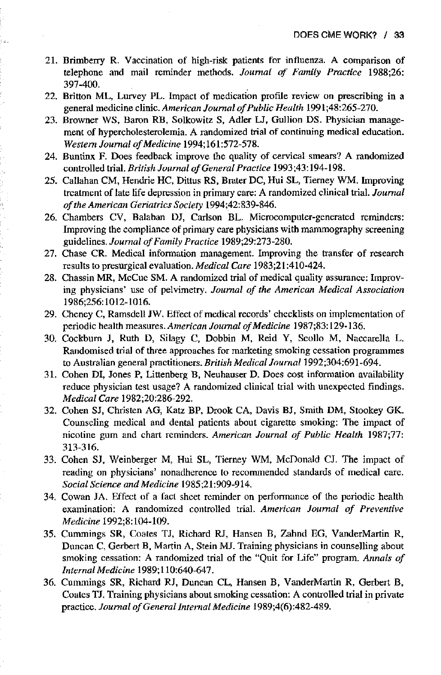- 21. Brimberry R. Vaccination of high-risk patients for influenza. A comparison of telephone and mail reminder methods. *Journal of Family Practice* 1988:26: **397-400.**
- **22. Britton ML, Lurvey PL. Impact of medication profile review on prescribing in a general medicine clinic.** *American Journal o f Public Health* **1991;48:265-270.**
- **23. Browner WS, Baron RB, Solkowitz S, Adler LJ, Gullion DS. Physician management of hypercholesterolemia. A randomized trial of continuing medical education.** *Western Journal o f Medicine* **1994;161:572-578.**
- **24. Buntinx F. Does feedback improve the quality of cervical smears? A randomized controlled trial.** *British Journal of General Practice* **1993;43:194-198.**
- **25. Callahan CM, Hendrie HC, Dittos RS, Brater DC, Hui SL, Tierney WM. Improving treatment of late life depression in primary care: A randomized clinical trial.** *Journal o f the American Geriatrics Society* **1994;42:839-846.**
- **26. Chambers CV, Balaban DJ, Carlson BL. Microcomputer-generated reminders: Improving the compliance of primary care physicians with mammography screening guidelines.** *Journal of Family Practice* **1989;29:273-280.**
- **27. Chase CR. Medical information management. Improving the transfer of research results to presurgical evaluation.** *Medical Care* **1983;21:410-424.**
- **28. Chassin MR, McCue SM. A randomized trial of medical quality assurance: Improv**ing physicians' use of pelvimetry. *Journal of the American Medical Association* **1986;256:1012-1016.**
- **29. Cheney C, Ramsdell JW. Effect of medical records' checklists on implementation of periodic health measures** *.American Journal of Medicine* **1987;83:129-136.**
- **30. Cockbum J, Ruth D, Silagy C, Dobbin M, Reid Y, Scollo M, Naccarella L. Randomised trial of three approaches for marketing smoking cessation programmes to Australian general practitioners.** *British Medical Journal* **1992;304:691-694.**
- **31. Cohen DI, Jones P, Littenberg B, Neuhauser D. Does cost information availability reduce physician test usage? A randomized clinical trial with unexpected findings.** *Medical Care* **1982;20:286-292.**
- **32. Cohen SJ, Christen AG, Katz BP, Drook CA, Davis BJ, Smith DM, Stookey GK. Counseling medical and dental patients about cigarette smoking: The impact of** nicotine gum and chart reminders. *American Journal of Public Health* 1987;77: **313-316.**
- **33. Cohen SJ, Weinberger M, Hui SL, Tierney WM, McDonald CJ. The impact of reading on physicians' nonadherence to recommended standards of medical care.** *Social Science and Medicine* **1985;21:909-914.**
- **34. Cowan JA. Effect of a fact sheet reminder on performance of the periodic health** examination: A randomized controlled trial. American Journal of Preventive *Medicine* **1992;8:104-109.**
- **35. Cummings SR, Coates TJ, Richard RJ, Hansen B, Zahnd EG, VanderMartin R, Duncan C, Gerbert B, Martin A, Stein MJ. Training physicians in counselling about smoking cessation: A randomized trial of the "Quit for Life" program.** *Annals of Internal Medicine* **1989;110:640-647.**
- **36. Cummings SR, Richard RJ, Duncan CL, Hansen B, VanderMartin R, Gerbert B, Coates TJ. Training physicians about smoking cessation: A controlled trial in private** practice. *Journal of General Internal Medicine*<sup>1989;4(6):482-489.</sup>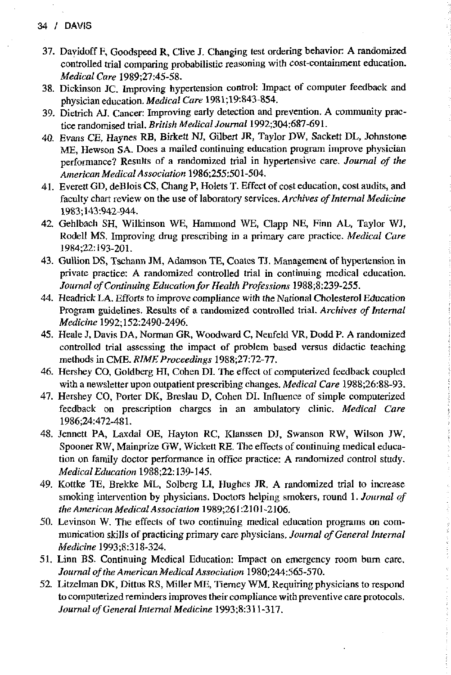**34 / DAViS**

- **37. Davidoff F, Goodspeed R, Clive J. Changing test ordering behavior: A randomized controlled trial comparing probabilistic reasoning with cost-containment education.** *Medical Care* **1989;27:45-58.**
- **38. Dickinson JC. Improving hypertension control: Impact of computer feedback and physician education.** *Medical Care* **1981;19:843-854.**
- **39. Dietrich AJ. Cancer: Improving early detection and prevention. A community practice randomised trial.** *British Medical Journal* **1992;304:687-691.**
- **40. Evans** *CE,* **Haynes RB, Birkett NJ, Gilbert JR, Taylor DW, Sackett DL, Johnstone ME, Hewson SA. Does a mailed continuing education program improve physician performance? Results of a randomized trial in hypertensive care.** *Journal of the American Medical Association* **1986;255:501-504.**
- **41. Everett GD, deBlois CS, Chang P, Holets T. Effect of cost education, cost audits, and faculty chart review on the use of laboratory services.** *Archives of Internal Medicine* **1983;143:942-944.**
- **42. Gehlbach SH, Wilkinson WE, Hammond WE, Clapp NE, Finn AL, Taylor WJ, Rodell MS, Improving drug prescribing in a primary care practice.** *Medical Care* **1984;22:193-201.**
- 43. Gullion DS, Tschann JM, Adamson TE, Coates TJ. Management of hypertension in **private practice: A randomized controlled trial in continuing medical education.** *Journal of Continuing Education for Health Professions* **1988;8:239-255.**
- **44. Headrick LA. Efforts to improve compliance with the National Cholesterol Education** Program guidelines. Results of a randomized controlled trial. *Archives of Internal Medicine* **1992;152:2490-2496.**
- **45. Heale J, Davis DA, Norman GR, Woodward C, Neufeld VR, Dodd P. A randomized controlled trial assessing the impact of problem based versus didactic teaching methods in CME.** *RIME Proceedings* **1988;27:72-77.**
- **46. Hershey CO, Goldberg HI, Cohen DI. The effect of computerized feedback coupled with a newsletter upon outpatient prescribing changes.** *Medical Care* **1988;26:88-93.**
- **47. Hershey CO, Porter DK, Breslau D, Cohen DI. Influence of simple computerized feedback on prescription charges in an ambulatory clinic.** *Medical Care* **1986;24:472-481.**
- **48. Jennett PA, Laxdal OE, Hayton RC, Klanssen DJ, Swanson RW, Wilson JW, Spooner RW, Mainprize GW, Wickett RE. The effects of continuing medical education on family doctor performance in office practice: A randomized control study.** *Medical Education* **1988;22:139-145.**
- **49. Kottke TE, Brekke ML, Solberg LI, Hughes JR. A randomized trial to increase smoking intervention by physicians. Doctors helping smokers, round 1.** *Journal of the American Medical Association* **1989;261:2101-2106.**
- **50. Levinson W. The effects of two continuing medical education programs on communication skills of practicing primary care physicians.** *Journal o f General Internal Medicine* **1993;8:318-324.**
- **51. Linn BS. Continuing Medical Education: Impact on emergency room bum care.** *Journal of the American Medical Association* **1980;244:565-570.**
- **52. Litzelman DK, Dittus RS, Miller ME, Tierney WM. Requiring physicians to respond to computerized reminders improves their compliance with preventive care protocols.** *Journal of General Internal Medicine* **1993;8:311-317.**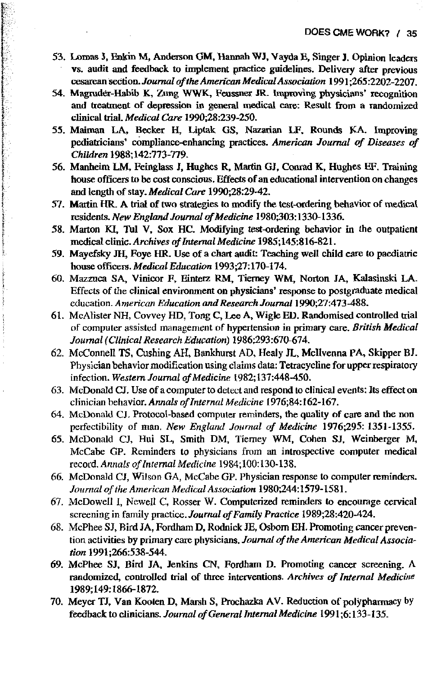- **53. Lomas J, Enltin M, Anderson GM, Hannah WJ, Vayda E, Singer J. Opinion leaders vs. audit and feedback to implement practice guidelines. Delivery after previous** cesarean section. *Journal of the American Medical Association* 1991;265:2202-2207.
- **54. Magruder-Habib K, Zung WWK, Feussner JR. Improving physicians' recognition and treatment of depression in general medical care: Result from a randomized clinical trial.** *Medical Care* **1990;28:239-250.**
- **55. Maiman LA, Becker H, Liptak GS, Nazarian LF, Rounds KA. Improving** pediatricians' compliance-enhancing practices. American Journal of Diseases of *Children* **1988;142:773-779.**
- **56. Manheira LM, Feinglass J, Hughes R, Martin GJ, Conrad K, Hughes EF. Training** house officers to be cost conscious. Effects of an educational intervention on changes and length of stay. *Medical Care* 1990;28:29-42.
- 57. Martin HR. A trial of two strategies to modify the test-ordering behavior of medical **residents.** *New England Journal o f Medicine* **1980;303:1330-1336.**
- **58. Marton KI, Tul V, Sox HC. Modifying test-ordering behavior in the outpatient medical clinic.** *Archives o f Internal Medicine* **1985;145:816-821.**
- 59. Mayefsky JH, Foye HR. Use of a chart audit: Teaching well child care to paediatric **house officers.** *Medical Education* **1993;27:170-174.**
- **60. Mazzuca SA, Vinicor F, Einterz RM, Tierney WM, Norton JA, Kalasinski LA. Effects of the clinical environment on physicians' response to postgraduate medical education.** *American Education and Research Journal* **1990;27:473-488.**
- **61. McAlister NH, Covvey HD, Tong C, Lee A, Wigle ED. Randomised controlled trial** of computer assisted management of hypertension in primary care. *British Medical Journal (Clinical Research Education)* **1986;293:670-674.**
- **62.** McConnell TS, Cushing AH, Bankhurst AD, Healy JL, Mcllvenna PA, Skipper BJ. Physician behavior modification using claims data: Tetracycline for upper respiratory infection. *Western Journal of Medicine* **1982;137:448-450.**
- 63. **McDonald** CJ. Use of a computer to detect **and** respond to clinical events: Its effect on clinician behavior. *Annals of Internal Medicine* 1976;84:162-167.
- **64. McDonald CJ. Protocol-based computer reminders, the quality of care and the non perfectibility of man.** *New England Journal of Medicine* **1976;295: 1351-1355.**
- **65. McDonald CJ,** Hui SL, Smith **DM, Tierney** WM, Cohen SJ, Weinberger M, **McCabe** GP. Reminders to **physicians from** an introspective computer medical record. Annals of Internal Medicine 1984;100:130-138.
- **66. McDonald CJ, Wilson GA, McCabe GP. Physician response to computer reminders.** *Journal o f the American Medical Association* **1980;244:1579-1581.**
- **67. McDowell I, Newell C, Rosser W. Computerized reminders to encourage cervical** screening in family practice. *Journal of Family Practice* 1989;28:420-424.
- **68. McPhee SJ, Bird JA, Fordham D, Rodnick JE, Osborn EH. Promoting cancer preven**tion activities by primary care physicians. *Journal of the American Medical Association* **1991;266:538-544.**
- **69. McPhee SJ, Bird JA Jenkins CN, Fordham D. Promoting cancer screening. A** randomized, controlled trial of three interventions. Archives of Internal Medicine **1989;149:1866-1872.**
- 70. Meyer TJ, Van Kooten D, Marsh S, Prochazka AV. Reduction of polypharmacy by feedback to clinicians. *Journal of General Internal Medicine* 1991;6:133-135.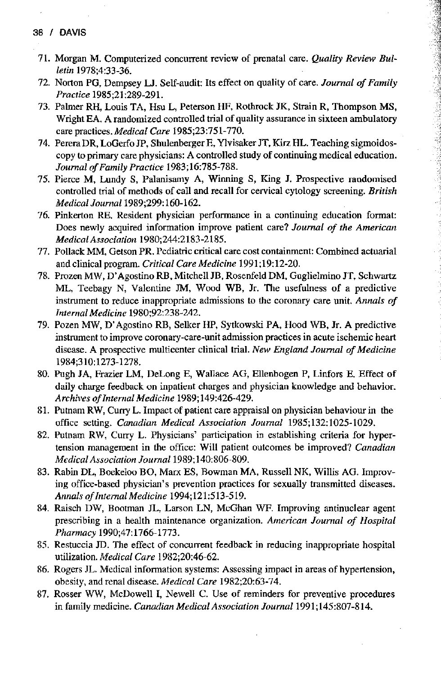- **71. Morgan M. Computerized concurrent review of prenatal care.** *Quality Review Bulletin* **1978;4:33-36.**
- **72. Norton PG, Dempsey LJ. Self-audit: Its effect on quality of care.** *Journal o f Family Practice* **1985;21:289-291.**

「最後の「PASS」の「PASS」ということが、「PASS」ということが、「PASS」ということが、「PASS」ということが、「PASS」ということが、「PASS」ということが、「PASS」ということが、「PASS」ということが、「PASS」ということが、「PASS」ということが、「PASS」ということが、「PASS」ということが、「PASS」ということが、「PASS」ということが、「PASS」ということが、「PASS」ということが

- **73. Palmer RH, Louis TA, Hsu L, Peterson HF, Rothrock** JK, **Strain R, Thompson MS, Wright EA. A randomized controlled trial of quality assurance in sixteen ambulatory care practices.** *Medical Care* **1985;23:751-770.**
- **74. Perera DR, LoGerfo JP, Shulenberger E, Ylvisaker JT, Kirz HL. Teaching sigmoidoscopy to primary care physicians: A controlled study of continuing medical education.** *Journal of Family Practice* **1983;16:785-788.**
- **75. Pierce M, Lundy S, Palanisamy A, Winning S, Ring J. Prospective randomised controlled trial of methods of call and recall for cervical cytology screening.** *British Medical Journal* **1989;299:160-162.**
- **76. Pinkerton RE. Resident physician performance in a continuing education format:** Does newly acquired information improve patient care? *Journal of the American Medical Association* **1980;244:2183-2185.**
- **77. Pollack MM, Getson PR. Pediatric critical care cost containment: Combined actuarial and clinical program.** *Critical Care Medicine* **1991;19:12-20.**
- **78. Prozen MW, D'Agostino RB, Mitchell JB, Rosenfeld DM, Guglielmino JT, Schwartz ML, Teebagy N, Valentine JM, Wood WB, Jr. The usefulness of a predictive instrument to reduce inappropriate admissions to the coronary care unit.** *Annals of Internal Medicine* **1980;92:238-242.**
- **79. Pozen MW, D'Agostino RB, Selker HP, Sytkowski PA, Hood WB, Jr. A predictive instrument to improve coronary-care-unit admission practices in acute ischemic heart disease. A prospective multicenter clinical trial.** *New England Journal of Medicine* **1984;310:1273-1278.**
- **80. Pugh JA, Frazier LM, DeLong E, Wallace AG, Ellenbogen P, Linfors E. Effect of daily charge feedback on inpatient charges and physician knowledge and behavior.** *Archives of Internal Medicine* **1989;149:426-429.**
- **81. Putnam RW, Curry L. Impact of patient care appraisal on physician behaviour in the office setting.** *Canadian Medical Association Journal* **1985;132:1025-1029.**
- **82. Putnam RW, Curry L. Physicians' participation in establishing criteria for hypertension management in the office: Will patient outcomes be improved?** *Canadian Medical Association Journal* **1989;140:806-809.**
- **83. Rabin DL, Boekeloo BO, Marx ES, Bowman MA, Russell NIC, Willis AG. Improving office-based physician's prevention practices for sexually transmitted diseases.** *Annals of Internal Medicine* **1994;121:513-519.**
- **84. Raisch DW, Bootman JL, Larson LN, McGhan WF. Improving antinuclear agent** prescribing in a health maintenance organization. American Journal of Hospital *Pharmacy* **1990;47:1766-1773.**
- **85. Restuccia JD. The effect of concurrent feedback in reducing inappropriate hospital utilization.** *Medical Care* **1982;20:46-62.**
- **86. Rogers JL. Medical information systems: Assessing impact in areas of hypertension, obesity, and renal disease.** *Medical Care* **1982;20:63-74.**
- **87. Rosser WW, McDowell I, Newell C. Use of reminders for preventive procedures in family medicine.** *Canadian Medical Association Journal* **1991;145:807-814.**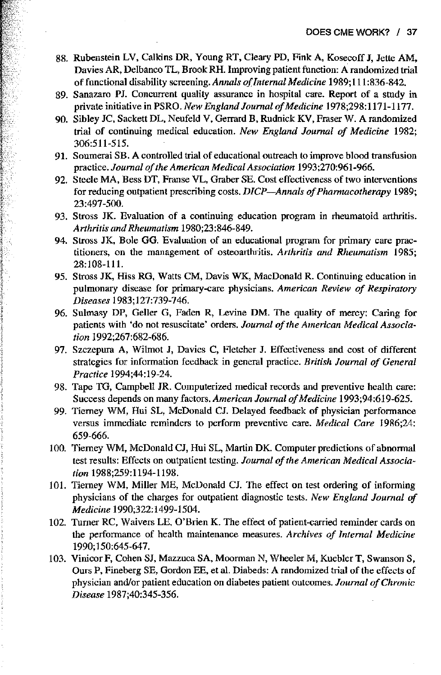- **88. Rubenstein LV, Calkins DR, Young RT, Cleary PD, Fink A, Kosecoff J, Jette AM, Davies AR, Delbanco TL, Brook RH. Improving patient function: A randomized trial o f functional disability screening.** *Annals o f Internal Medicine* **1989;111:836-842.**
- **89. Sanazaro PJ. Concurrent quality assurance in hospital care. Report of a study in private initiative in PSRO.** *New England Journal o f Medicine* **1978;298:1171-1177.**
- **90. Sibley JC, Sackett DL, Neufeld V, Geirard B, Rudnick KV, Fraser W. A randomized** trial of continuing medical education. *New England Journal of Medicine* 1982: **306:511-515.**
- **91. Soumerai SB. A controlled trial of educational outreach to improve blood transfusion practice.** *Journal of the American Medical Association* **1993;270:961-966.**
- **92. Steele MA, Bess DT, Franse VL, Graber SE. Cost effectiveness of two interventions** for reducing outpatient prescribing costs. *DICP—Annals of Pharmacotherapy* 1989; **23:497-500.**
- **93. Stross JK. Evaluation of a continuing education program in rheumatoid arthritis.** *Arthritis and Rheumatism* **1980;23:846-849.**
- **94. Stross JK, Bole GG. Evaluation of an educational program for primary care practitioners, on the management of osteoarthritis.** *Arthritis and Rheumatism* **1985; 28:108-111.**
- **95. Stross JK, Hiss RG, Watts CM, Davis WK, MacDonald R. Continuing education in** pulmonary disease for primary-care physicians. American Review of Respiratory *Diseases* **1983;127:739-746.**
- **96. Sulmasy DP, Geller G, Faden R, Levine DM. The quality of mercy: Caring for** patients with 'do not resuscitate' orders. Journal of the American Medical Associa*tion* **1992;267:682-686.**
- **97. Szczepura A, Wilmot J, Davies C, Fletcher J. Effectiveness and cost of different** strategies for information feedback in general practice. *British Journal of General Practice* **1994;44:19-24.**
- **98. Tape TG, Campbell JR. Computerized medical records and preventive health care:** Success depends on many factors. *American Journal of Medicine* 1993;94:619-625.
- **99. Tierney WM, Hui SL, McDonald CJ. Delayed feedback of physician performance versus immediate reminders to perform preventive care.** *Medical Care* **1986;24: 659-666,**
- **100. Tierney WM, McDonald CJ, Hui SL, Martin DK. Computer predictions of abnormal** test results: Effects on outpatient testing. Journal of the American Medical Associa*tion* **1988;259:1194-1198.**
- **101. Tierney WM, Miller ME, McDonald CJ. The effect on test ordering of informing physicians of the charges for outpatient diagnostic tests.** *New England Journal of Medicine* **1990;322:1499-1504.**
- **102. Turner RC, Waivers LE, O'Brien K. The effect of patient-carried reminder cards on the performance of health maintenance measures.** *Archives of Internal Medicine* **1990;150:645-647.**
- **103. Vinicor F, Cohen SJ, Mazzuca SA, Moorman N, Wheeler M, Kuebler T, Swanson S, Ours P, Fineberg SE, Gordon EE, et al. Diabeds: A randomized trial of the effects of** physician and/or patient education on diabetes patient outcomes. *Journal of Chronic Disease* **1987;40:345-356.**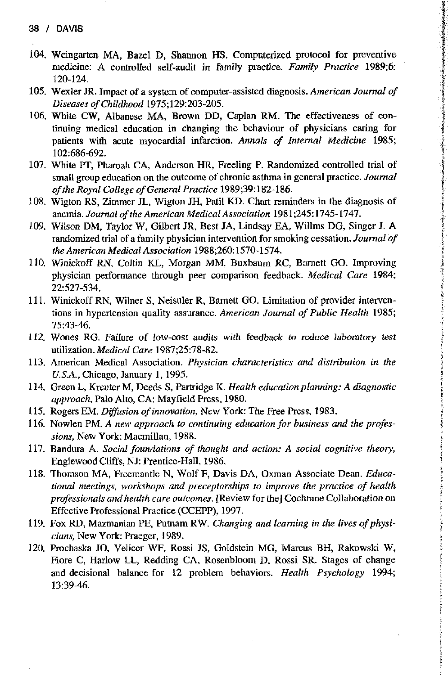## **38 / DAVIS**

- **104. Weingarten MA, Bazel D, Shannon HS. Computerized protocol for preventive medicine: A controlled self-audit in family practice.** *Family Practice* **1989;6: 120-124.**
- **105. Wexler JR. Impact of a system of computer-assisted diagnosis.** *American Journal of Diseases of Childhood* **1975;129:203-205.**
- **106. White CW, Albanese MA, Brown DD, Caplan RM. The effectiveness of continuing medical education in changing the behaviour of physicians caring for patients with acute myocardial infarction.** *Annals of Internal Medicine* **1985; 102:686-692.**
- **107. White PT, Pharoah CA, Anderson HR, Freeling P. Randomized controlled trial of small group education on the outcome of chronic asthma in general practice.** *Journal of the Royal College of General Practice* 1989;39:182-186.
- **108. Wigton RS, Zimmer JL, Wigton JH, Patil KD. Chart reminders in the diagnosis of anemia.** *Journal of the American Medical Association* **1981 ;245:1745-1747.**
- **109. Wilson DM, Taylor W, Gilbert JR, Best JA, Lindsay EA, Willms DG, Singer J. A randomized trial of a family physician intervention for smoking cessation.** *Journal of the American Medical Association* **1988;260:1570-1574.**
- **110. Winickoff RN, Coltin KL, Morgan MM, Buxbaum RC, Barnett GO. Improving physician performance through peer comparison feedback.** *Medical Care* **1984; 22:527-534.**
- **111. Winickoff RN, Wilner S, Neisuler R, Barnett GO. Limitation of provider interventions in hypertension quality assurance.** *American Journal of Public Health* **1985; 75:43-46.**
- 112. Wones RG. Failure of low-cost audits with feedback to reduce laboratory test **utilization** *.Medical Care* **1987;25:78-82.**
- **113. American Medical Association.** *Physician characteristics and distribution in the U.S.A.,* **Chicago, January 1,1995.**
- **114. Green L, Kreuter M, Deeds S, Partridge K,** *Health education planning:* **A** *diagnostic approach,* **Palo Alto, CA: Mayfield Press, 1980.**
- 115. Rogers EM. *Diffusion of innovation*, New York: The Free Press, 1983.
- **116. Nowlen PM.** *A new approach to continuing education for business and the professions,* **New York: Macmillan, 1988.**
- **117. Bandura A.** *Social foundations of thought and action: A social cognitive theory,* **Englewood Cliffs, NJ: Prentice-Hall, 1986.**
- **118. Thomson MA, Freemantle N, Wolf F, Davis DA, Oxman Associate Dean.** *Educational meetings, workshops and preceptorships to improve the practice of health professionals and health care outcomes.* **[Review for the] Cochrane Collaboration on Effective Professional Practice (CCEPP), 1997.**
- **119. Fox RD, Mazmanian PE, Putnam RW.** *Changing and learning in the lives of physicians,* **New York: Praeger, 1989.**
- **120. Prochaska JO, Velicer WF, Rossi JS, Goldstein MG, Marcus BH, Rakowski W, Fiore C, Harlow LL, Redding CA, Rosenbloom D, Rossi SR. Stages of change and decisional balance for 12 problem behaviors.** *Health Psychology* **1994; 13:39-46.**